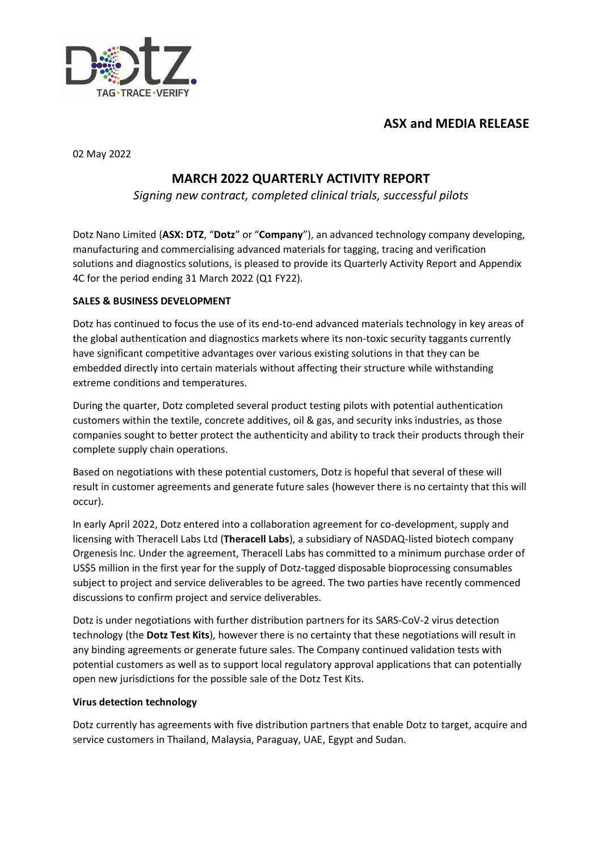



02 May 2022

# **MARCH 2022 QUARTERLY ACTIVITY REPORT**

*Signing new contract, completed clinical trials, successful pilots*

Dotz Nano Limited (**ASX: DTZ**, "**Dotz**" or "**Company**"), an advanced technology company developing, manufacturing and commercialising advanced materials for tagging, tracing and verification solutions and diagnostics solutions, is pleased to provide its Quarterly Activity Report and Appendix 4C for the period ending 31 March 2022 (Q1 FY22).

# **SALES & BUSINESS DEVELOPMENT**

Dotz has continued to focus the use of its end-to-end advanced materials technology in key areas of the global authentication and diagnostics markets where its non-toxic security taggants currently have significant competitive advantages over various existing solutions in that they can be embedded directly into certain materials without affecting their structure while withstanding extreme conditions and temperatures.

During the quarter, Dotz completed several product testing pilots with potential authentication customers within the textile, concrete additives, oil & gas, and security inks industries, as those companies sought to better protect the authenticity and ability to track their products through their complete supply chain operations.

Based on negotiations with these potential customers, Dotz is hopeful that several of these will result in customer agreements and generate future sales (however there is no certainty that this will occur).

In early April 2022, Dotz entered into a collaboration agreement for co-development, supply and licensing with Theracell Labs Ltd (**Theracell Labs**), a subsidiary of NASDAQ-listed biotech company Orgenesis Inc. Under the agreement, Theracell Labs has committed to a minimum purchase order of US\$5 million in the first year for the supply of Dotz-tagged disposable bioprocessing consumables subject to project and service deliverables to be agreed. The two parties have recently commenced discussions to confirm project and service deliverables.

Dotz is under negotiations with further distribution partners for its SARS-CoV-2 virus detection technology (the **Dotz Test Kits**), however there is no certainty that these negotiations will result in any binding agreements or generate future sales. The Company continued validation tests with potential customers as well as to support local regulatory approval applications that can potentially open new jurisdictions for the possible sale of the Dotz Test Kits.

# **Virus detection technology**

Dotz currently has agreements with five distribution partners that enable Dotz to target, acquire and service customers in Thailand, Malaysia, Paraguay, UAE, Egypt and Sudan.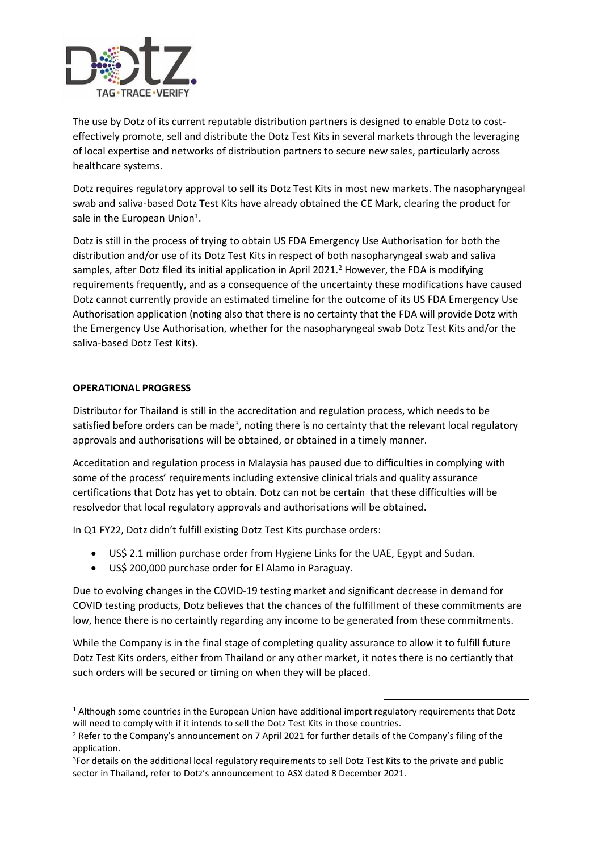

The use by Dotz of its current reputable distribution partners is designed to enable Dotz to costeffectively promote, sell and distribute the Dotz Test Kits in several markets through the leveraging of local expertise and networks of distribution partners to secure new sales, particularly across healthcare systems.

Dotz requires regulatory approval to sell its Dotz Test Kits in most new markets. The nasopharyngeal swab and saliva-based Dotz Test Kits have already obtained the CE Mark, clearing the product for sale in the European Union<sup>1</sup>.

Dotz is still in the process of trying to obtain US FDA Emergency Use Authorisation for both the distribution and/or use of its Dotz Test Kits in respect of both nasopharyngeal swab and saliva samples, after Dotz filed its initial application in April 2021.<sup>2</sup> However, the FDA is modifying requirements frequently, and as a consequence of the uncertainty these modifications have caused Dotz cannot currently provide an estimated timeline for the outcome of its US FDA Emergency Use Authorisation application (noting also that there is no certainty that the FDA will provide Dotz with the Emergency Use Authorisation, whether for the nasopharyngeal swab Dotz Test Kits and/or the saliva-based Dotz Test Kits).

### **OPERATIONAL PROGRESS**

Distributor for Thailand is still in the accreditation and regulation process, which needs to be satisfied before orders can be made<sup>3</sup>, noting there is no certainty that the relevant local regulatory approvals and authorisations will be obtained, or obtained in a timely manner.

Acceditation and regulation process in Malaysia has paused due to difficulties in complying with some of the process' requirements including extensive clinical trials and quality assurance certifications that Dotz has yet to obtain. Dotz can not be certain that these difficulties will be resolvedor that local regulatory approvals and authorisations will be obtained.

In Q1 FY22, Dotz didn't fulfill existing Dotz Test Kits purchase orders:

- US\$ 2.1 million purchase order from Hygiene Links for the UAE, Egypt and Sudan.
- US\$ 200,000 purchase order for El Alamo in Paraguay.

Due to evolving changes in the COVID-19 testing market and significant decrease in demand for COVID testing products, Dotz believes that the chances of the fulfillment of these commitments are low, hence there is no certaintly regarding any income to be generated from these commitments.

While the Company is in the final stage of completing quality assurance to allow it to fulfill future Dotz Test Kits orders, either from Thailand or any other market, it notes there is no certiantly that such orders will be secured or timing on when they will be placed.

<sup>&</sup>lt;sup>1</sup> Although some countries in the European Union have additional import regulatory requirements that Dotz will need to comply with if it intends to sell the Dotz Test Kits in those countries.

<sup>2</sup> Refer to the Company's announcement on 7 April 2021 for further details of the Company's filing of the application.

<sup>&</sup>lt;sup>3</sup>For details on the additional local regulatory requirements to sell Dotz Test Kits to the private and public sector in Thailand, refer to Dotz's announcement to ASX dated 8 December 2021.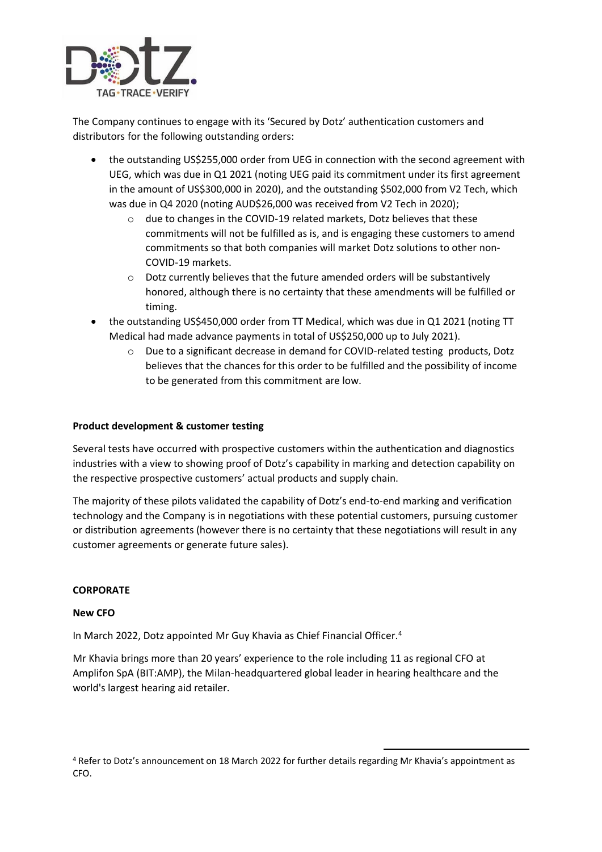

The Company continues to engage with its 'Secured by Dotz' authentication customers and distributors for the following outstanding orders:

- the outstanding US\$255,000 order from UEG in connection with the second agreement with UEG, which was due in Q1 2021 (noting UEG paid its commitment under its first agreement in the amount of US\$300,000 in 2020), and the outstanding \$502,000 from V2 Tech, which was due in Q4 2020 (noting AUD\$26,000 was received from V2 Tech in 2020);
	- o due to changes in the COVID-19 related markets, Dotz believes that these commitments will not be fulfilled as is, and is engaging these customers to amend commitments so that both companies will market Dotz solutions to other non-COVID-19 markets.
	- o Dotz currently believes that the future amended orders will be substantively honored, although there is no certainty that these amendments will be fulfilled or timing.
- the outstanding US\$450,000 order from TT Medical, which was due in Q1 2021 (noting TT Medical had made advance payments in total of US\$250,000 up to July 2021).
	- o Due to a significant decrease in demand for COVID-related testing products, Dotz believes that the chances for this order to be fulfilled and the possibility of income to be generated from this commitment are low.

### **Product development & customer testing**

Several tests have occurred with prospective customers within the authentication and diagnostics industries with a view to showing proof of Dotz's capability in marking and detection capability on the respective prospective customers' actual products and supply chain.

The majority of these pilots validated the capability of Dotz's end-to-end marking and verification technology and the Company is in negotiations with these potential customers, pursuing customer or distribution agreements (however there is no certainty that these negotiations will result in any customer agreements or generate future sales).

#### **CORPORATE**

#### **New CFO**

In March 2022, Dotz appointed Mr Guy Khavia as Chief Financial Officer.<sup>4</sup>

Mr Khavia brings more than 20 years' experience to the role including 11 as regional CFO at Amplifon SpA (BIT:AMP), the Milan-headquartered global leader in hearing healthcare and the world's largest hearing aid retailer.

<sup>4</sup> Refer to Dotz's announcement on 18 March 2022 for further details regarding Mr Khavia's appointment as CFO.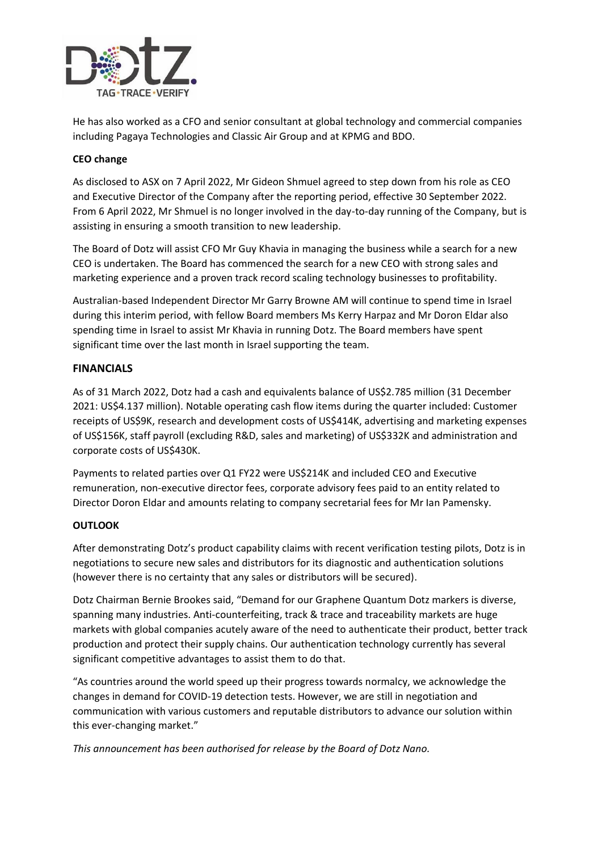

He has also worked as a CFO and senior consultant at global technology and commercial companies including Pagaya Technologies and Classic Air Group and at KPMG and BDO.

# **CEO change**

As disclosed to ASX on 7 April 2022, Mr Gideon Shmuel agreed to step down from his role as CEO and Executive Director of the Company after the reporting period, effective 30 September 2022. From 6 April 2022, Mr Shmuel is no longer involved in the day-to-day running of the Company, but is assisting in ensuring a smooth transition to new leadership.

The Board of Dotz will assist CFO Mr Guy Khavia in managing the business while a search for a new CEO is undertaken. The Board has commenced the search for a new CEO with strong sales and marketing experience and a proven track record scaling technology businesses to profitability.

Australian-based Independent Director Mr Garry Browne AM will continue to spend time in Israel during this interim period, with fellow Board members Ms Kerry Harpaz and Mr Doron Eldar also spending time in Israel to assist Mr Khavia in running Dotz. The Board members have spent significant time over the last month in Israel supporting the team.

# **FINANCIALS**

As of 31 March 2022, Dotz had a cash and equivalents balance of US\$2.785 million (31 December 2021: US\$4.137 million). Notable operating cash flow items during the quarter included: Customer receipts of US\$9K, research and development costs of US\$414K, advertising and marketing expenses of US\$156K, staff payroll (excluding R&D, sales and marketing) of US\$332K and administration and corporate costs of US\$430K.

Payments to related parties over Q1 FY22 were US\$214K and included CEO and Executive remuneration, non-executive director fees, corporate advisory fees paid to an entity related to Director Doron Eldar and amounts relating to company secretarial fees for Mr Ian Pamensky.

# **OUTLOOK**

After demonstrating Dotz's product capability claims with recent verification testing pilots, Dotz is in negotiations to secure new sales and distributors for its diagnostic and authentication solutions (however there is no certainty that any sales or distributors will be secured).

Dotz Chairman Bernie Brookes said, "Demand for our Graphene Quantum Dotz markers is diverse, spanning many industries. Anti-counterfeiting, track & trace and traceability markets are huge markets with global companies acutely aware of the need to authenticate their product, better track production and protect their supply chains. Our authentication technology currently has several significant competitive advantages to assist them to do that.

"As countries around the world speed up their progress towards normalcy, we acknowledge the changes in demand for COVID-19 detection tests. However, we are still in negotiation and communication with various customers and reputable distributors to advance our solution within this ever-changing market."

*This announcement has been authorised for release by the Board of Dotz Nano.*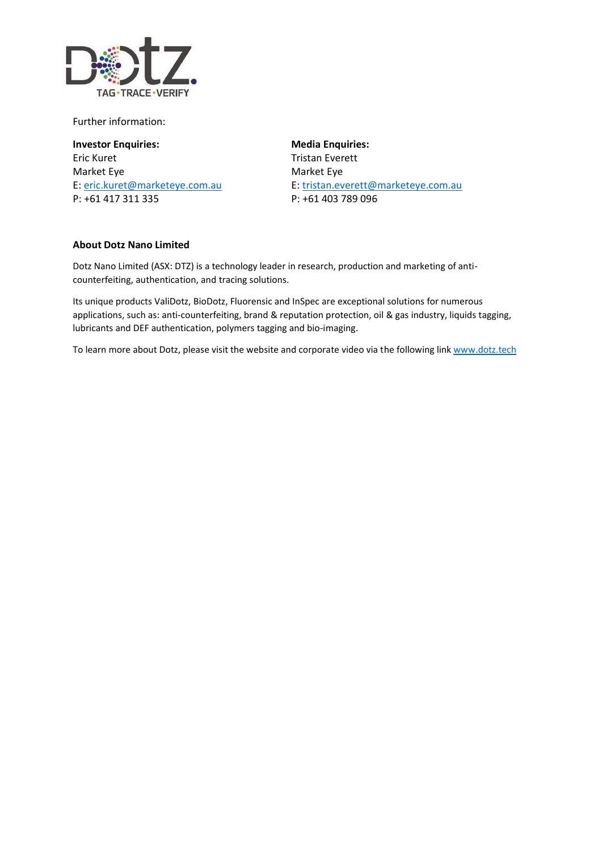

Further information:

**Investor Enquiries: Media Enquiries:** Eric Kuret Tristan Everett Market Eye Market Eye P: +61 417 311 335 P: +61 403 789 096

E: [eric.kuret@marketeye.com.au](mailto:eric.kuret@marketeye.com.au) E: [tristan.everett@marketeye.com.au](mailto:tristan.everett@marketeye.com.au)

### **About Dotz Nano Limited**

Dotz Nano Limited (ASX: DTZ) is a technology leader in research, production and marketing of anticounterfeiting, authentication, and tracing solutions.

Its unique products ValiDotz, BioDotz, Fluorensic and InSpec are exceptional solutions for numerous applications, such as: anti-counterfeiting, brand & reputation protection, oil & gas industry, liquids tagging, lubricants and DEF authentication, polymers tagging and bio-imaging.

To learn more about Dotz, please visit the website and corporate video via the following link [www.dotz.tech](http://www.dotz.tech/)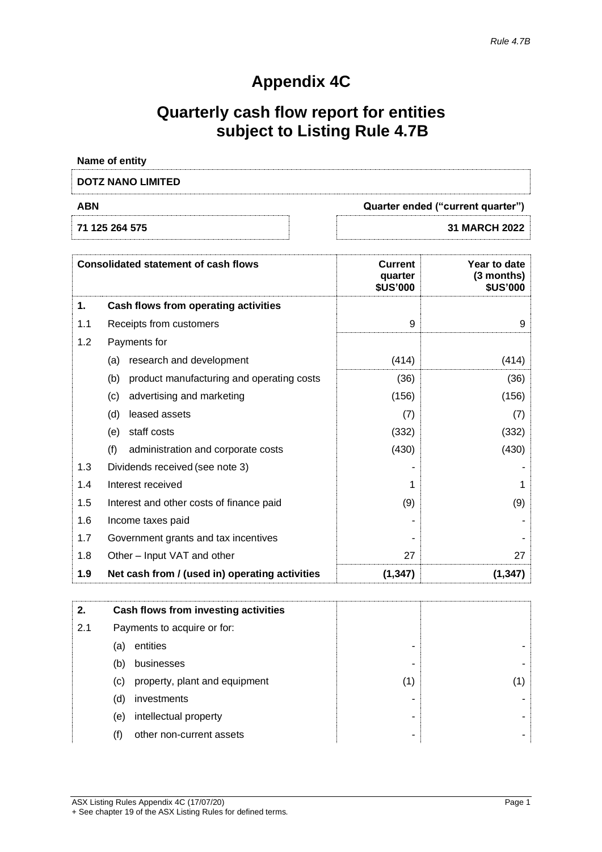# **Appendix 4C**

# **Quarterly cash flow report for entities subject to Listing Rule 4.7B**

| Name of entity           |                                   |
|--------------------------|-----------------------------------|
| <b>DOTZ NANO LIMITED</b> |                                   |
| <b>ABN</b>               | Quarter ended ("current quarter") |
| 71 125 264 575           | <b>31 MARCH 2022</b>              |
|                          |                                   |

|     | <b>Consolidated statement of cash flows</b>      | <b>Current</b><br>quarter<br><b>\$US'000</b> | Year to date<br>$(3$ months)<br><b>\$US'000</b> |
|-----|--------------------------------------------------|----------------------------------------------|-------------------------------------------------|
| 1.  | Cash flows from operating activities             |                                              |                                                 |
| 1.1 | Receipts from customers                          | 9                                            | 9                                               |
| 1.2 | Payments for                                     |                                              |                                                 |
|     | research and development<br>(a)                  | (414)                                        | (414)                                           |
|     | (b)<br>product manufacturing and operating costs | (36)                                         | (36)                                            |
|     | advertising and marketing<br>(c)                 | (156)                                        | (156)                                           |
|     | (d)<br>leased assets                             | (7)                                          | (7)                                             |
|     | staff costs<br>(e)                               | (332)                                        | (332)                                           |
|     | (f)<br>administration and corporate costs        | (430)                                        | (430)                                           |
| 1.3 | Dividends received (see note 3)                  |                                              |                                                 |
| 1.4 | Interest received                                |                                              |                                                 |
| 1.5 | Interest and other costs of finance paid         | (9)                                          | (9)                                             |
| 1.6 | Income taxes paid                                |                                              |                                                 |
| 1.7 | Government grants and tax incentives             |                                              |                                                 |
| 1.8 | Other – Input VAT and other                      | 27                                           | 27                                              |
| 1.9 | Net cash from / (used in) operating activities   | (1, 347)                                     | (1, 347)                                        |

| 2.  |     | Cash flows from investing activities |   |  |
|-----|-----|--------------------------------------|---|--|
| 2.1 |     | Payments to acquire or for:          |   |  |
|     | (a) | entities                             |   |  |
|     | (b) | businesses                           |   |  |
|     | (C) | property, plant and equipment        | 1 |  |
|     | (d) | investments                          |   |  |
|     | (e) | intellectual property                |   |  |
|     |     | other non-current assets             |   |  |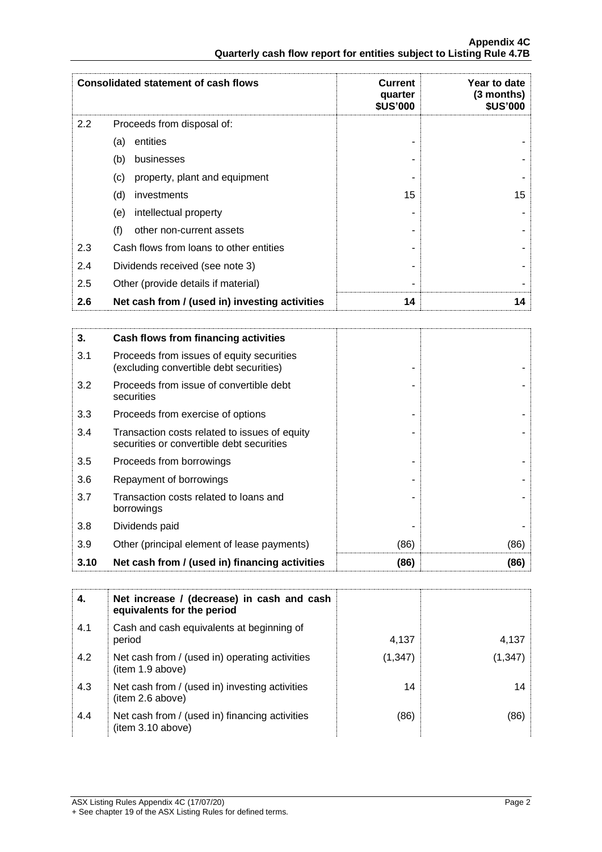|     | <b>Consolidated statement of cash flows</b>    | <b>Current</b><br>quarter<br><b>\$US'000</b> | Year to date<br>(3 months)<br><b>\$US'000</b> |
|-----|------------------------------------------------|----------------------------------------------|-----------------------------------------------|
| 2.2 | Proceeds from disposal of:                     |                                              |                                               |
|     | entities<br>(a)                                |                                              |                                               |
|     | (b)<br>businesses                              |                                              |                                               |
|     | property, plant and equipment<br>(c)           |                                              |                                               |
|     | (d)<br>investments                             | 15                                           | 15                                            |
|     | (e)<br>intellectual property                   |                                              |                                               |
|     | (f)<br>other non-current assets                |                                              |                                               |
| 2.3 | Cash flows from loans to other entities        |                                              |                                               |
| 2.4 | Dividends received (see note 3)                |                                              |                                               |
| 2.5 | Other (provide details if material)            |                                              |                                               |
| 2.6 | Net cash from / (used in) investing activities | 14                                           | 14                                            |

| 3.   | Cash flows from financing activities                                                       |      |      |
|------|--------------------------------------------------------------------------------------------|------|------|
| 3.1  | Proceeds from issues of equity securities<br>(excluding convertible debt securities)       |      |      |
| 3.2  | Proceeds from issue of convertible debt<br>securities                                      |      |      |
| 3.3  | Proceeds from exercise of options                                                          |      |      |
| 3.4  | Transaction costs related to issues of equity<br>securities or convertible debt securities |      |      |
| 3.5  | Proceeds from borrowings                                                                   |      |      |
| 3.6  | Repayment of borrowings                                                                    |      |      |
| 3.7  | Transaction costs related to loans and<br>borrowings                                       |      |      |
| 3.8  | Dividends paid                                                                             |      |      |
| 3.9  | Other (principal element of lease payments)                                                | (86) | (86) |
| 3.10 | Net cash from / (used in) financing activities                                             | (86) | (86) |

| 4.  | Net increase / (decrease) in cash and cash<br>equivalents for the period |          |          |
|-----|--------------------------------------------------------------------------|----------|----------|
| 4.1 | Cash and cash equivalents at beginning of<br>period                      | 4,137    | 4,137    |
| 4.2 | Net cash from / (used in) operating activities<br>item 1.9 above)        | (1, 347) | (1, 347) |
| 4.3 | Net cash from / (used in) investing activities<br>item 2.6 above)        | 14       | 14       |
| 4.4 | Net cash from / (used in) financing activities<br>(item 3.10 above)      | (86)     | (86)     |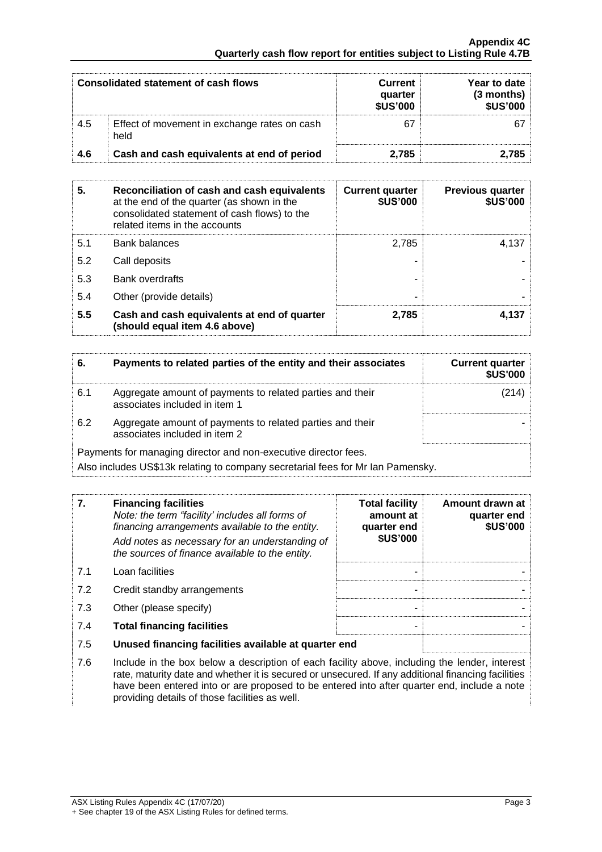#### **Appendix 4C Quarterly cash flow report for entities subject to Listing Rule 4.7B**

|     | Consolidated statement of cash flows                 | <b>Current</b><br>quarter<br><b>\$US'000</b> | Year to date<br>(3 months)<br><b>\$US'000</b> |
|-----|------------------------------------------------------|----------------------------------------------|-----------------------------------------------|
| 4.5 | Effect of movement in exchange rates on cash<br>held |                                              |                                               |
| 4.6 | Cash and cash equivalents at end of period           | 2.785                                        | 2.785                                         |

| 5.  | Reconciliation of cash and cash equivalents<br>at the end of the quarter (as shown in the<br>consolidated statement of cash flows) to the<br>related items in the accounts | <b>Current quarter</b><br><b>\$US'000</b> | <b>Previous quarter</b><br><b>\$US'000</b> |
|-----|----------------------------------------------------------------------------------------------------------------------------------------------------------------------------|-------------------------------------------|--------------------------------------------|
| 5.1 | Bank balances                                                                                                                                                              | 2.785                                     | 4.137                                      |
| 5.2 | Call deposits                                                                                                                                                              |                                           |                                            |
| 5.3 | <b>Bank overdrafts</b>                                                                                                                                                     |                                           |                                            |
| 5.4 | Other (provide details)                                                                                                                                                    |                                           |                                            |
| 5.5 | Cash and cash equivalents at end of quarter<br>(should equal item 4.6 above)                                                                                               | 2.785                                     | 4.137                                      |

| 6.  | Payments to related parties of the entity and their associates                                                                                     | <b>Current quarter</b><br><b>\$US'000</b> |  |
|-----|----------------------------------------------------------------------------------------------------------------------------------------------------|-------------------------------------------|--|
| 6.1 | Aggregate amount of payments to related parties and their<br>associates included in item 1                                                         |                                           |  |
| 6.2 | Aggregate amount of payments to related parties and their<br>associates included in item 2                                                         |                                           |  |
|     | Payments for managing director and non-executive director fees.<br>Also includes US\$13k relating to company secretarial fees for Mr Ian Pamensky. |                                           |  |

| 7.  | <b>Financing facilities</b><br>Note: the term "facility' includes all forms of<br>financing arrangements available to the entity.<br>Add notes as necessary for an understanding of<br>the sources of finance available to the entity.                                                             | <b>Total facility</b><br>amount at<br>quarter end<br><b>\$US'000</b> | Amount drawn at<br>quarter end<br><b>\$US'000</b> |
|-----|----------------------------------------------------------------------------------------------------------------------------------------------------------------------------------------------------------------------------------------------------------------------------------------------------|----------------------------------------------------------------------|---------------------------------------------------|
| 7.1 | Loan facilities                                                                                                                                                                                                                                                                                    |                                                                      |                                                   |
| 7.2 | Credit standby arrangements                                                                                                                                                                                                                                                                        |                                                                      |                                                   |
| 7.3 | Other (please specify)                                                                                                                                                                                                                                                                             |                                                                      |                                                   |
| 7.4 | <b>Total financing facilities</b>                                                                                                                                                                                                                                                                  |                                                                      |                                                   |
| 7.5 | Unused financing facilities available at quarter end                                                                                                                                                                                                                                               |                                                                      |                                                   |
| 7.6 | Include in the box below a description of each facility above, including the lender, interest<br>rate, maturity date and whether it is secured or unsecured. If any additional financing facilities<br>have been entered into or are proposed to be entered into after quarter end, include a note |                                                                      |                                                   |

providing details of those facilities as well.

1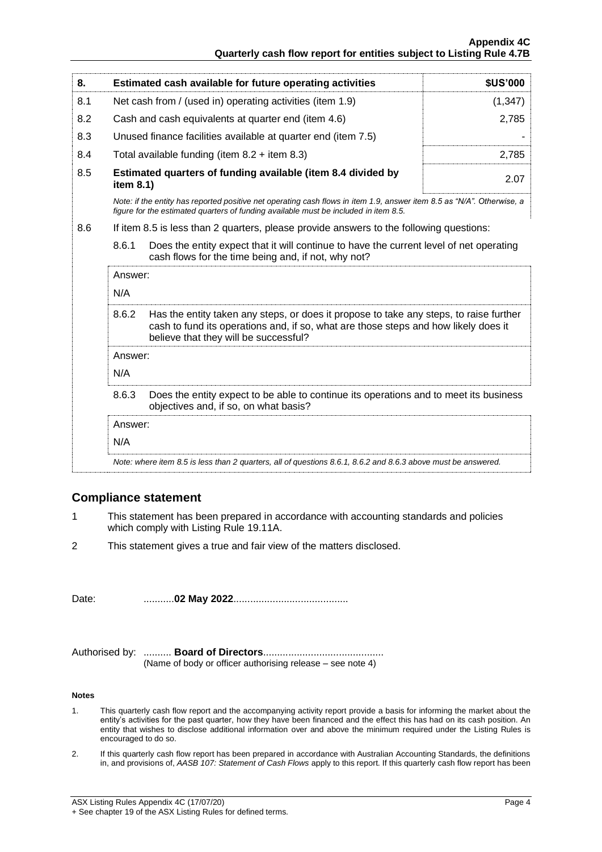### **Appendix 4C Quarterly cash flow report for entities subject to Listing Rule 4.7B**

| 8.  | Estimated cash available for future operating activities                                                                                                                                                                                           | <b>\$US'000</b> |  |
|-----|----------------------------------------------------------------------------------------------------------------------------------------------------------------------------------------------------------------------------------------------------|-----------------|--|
| 8.1 | Net cash from / (used in) operating activities (item 1.9)                                                                                                                                                                                          | (1, 347)        |  |
| 8.2 | Cash and cash equivalents at quarter end (item 4.6)                                                                                                                                                                                                | 2,785           |  |
| 8.3 | Unused finance facilities available at quarter end (item 7.5)                                                                                                                                                                                      |                 |  |
| 8.4 | Total available funding (item $8.2 +$ item $8.3$ )                                                                                                                                                                                                 | 2,785           |  |
| 8.5 | Estimated quarters of funding available (item 8.4 divided by<br>item 8.1)                                                                                                                                                                          | 2.07            |  |
|     | Note: if the entity has reported positive net operating cash flows in item 1.9, answer item 8.5 as "N/A". Otherwise, a<br>figure for the estimated quarters of funding available must be included in item 8.5.                                     |                 |  |
| 8.6 | If item 8.5 is less than 2 quarters, please provide answers to the following questions:<br>8.6.1<br>Does the entity expect that it will continue to have the current level of net operating<br>cash flows for the time being and, if not, why not? |                 |  |
|     |                                                                                                                                                                                                                                                    |                 |  |
|     | Answer:                                                                                                                                                                                                                                            |                 |  |
|     | N/A                                                                                                                                                                                                                                                |                 |  |
|     | 8.6.2<br>Has the entity taken any steps, or does it propose to take any steps, to raise further<br>cash to fund its operations and, if so, what are those steps and how likely does it<br>believe that they will be successful?                    |                 |  |
|     | Answer:                                                                                                                                                                                                                                            |                 |  |
|     | N/A                                                                                                                                                                                                                                                |                 |  |

8.6.3 Does the entity expect to be able to continue its operations and to meet its business objectives and, if so, on what basis?

Answer:

N/A

*Note: where item 8.5 is less than 2 quarters, all of questions 8.6.1, 8.6.2 and 8.6.3 above must be answered.*

# **Compliance statement**

- 1 This statement has been prepared in accordance with accounting standards and policies which comply with Listing Rule 19.11A.
- 2 This statement gives a true and fair view of the matters disclosed.

Date: ...........**02 May 2022**.........................................

Authorised by: .......... **Board of Directors**........................................... (Name of body or officer authorising release – see note 4)

#### **Notes**

- 1. This quarterly cash flow report and the accompanying activity report provide a basis for informing the market about the entity's activities for the past quarter, how they have been financed and the effect this has had on its cash position. An entity that wishes to disclose additional information over and above the minimum required under the Listing Rules is encouraged to do so.
- 2. If this quarterly cash flow report has been prepared in accordance with Australian Accounting Standards, the definitions in, and provisions of, *AASB 107: Statement of Cash Flows* apply to this report. If this quarterly cash flow report has been